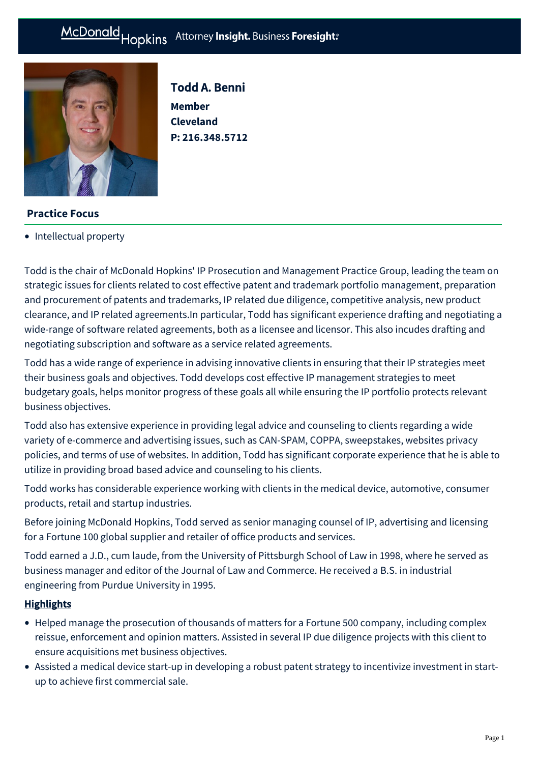#### Hopkins Attorney Insight. Business Foresight: McDonald



Todd A. Benni **Member Cleveland P: [216.348.5712](tel:216.348.5712)**

## **Practice Focus**

• [Intellectual property](https://mcdonaldhopkins.com/Expertise/Intellectual-property)

Todd is the chair of McDonald Hopkins' IP Prosecution and Management Practice Group, leading the team on strategic issues for clients related to cost effective patent and trademark portfolio management, preparation and procurement of patents and trademarks, IP related due diligence, competitive analysis, new product clearance, and IP related agreements.In particular, Todd has significant experience drafting and negotiating a wide-range of software related agreements, both as a licensee and licensor. This also incudes drafting and negotiating subscription and software as a service related agreements.

Todd has a wide range of experience in advising innovative clients in ensuring that their IP strategies meet their business goals and objectives. Todd develops cost effective IP management strategies to meet budgetary goals, helps monitor progress of these goals all while ensuring the IP portfolio protects relevant business objectives.

Todd also has extensive experience in providing legal advice and counseling to clients regarding a wide variety of e-commerce and advertising issues, such as CAN-SPAM, COPPA, sweepstakes, websites privacy policies, and terms of use of websites. In addition, Todd has significant corporate experience that he is able to utilize in providing broad based advice and counseling to his clients.

Todd works has considerable experience working with clients in the medical device, automotive, consumer products, retail and startup industries.

Before joining McDonald Hopkins, Todd served as senior managing counsel of IP, advertising and licensing for a Fortune 100 global supplier and retailer of office products and services.

Todd earned a J.D., cum laude, from the University of Pittsburgh School of Law in 1998, where he served as business manager and editor of the Journal of Law and Commerce. He received a B.S. in industrial engineering from Purdue University in 1995.

#### **Highlights**

- Helped manage the prosecution of thousands of matters for a Fortune 500 company, including complex reissue, enforcement and opinion matters. Assisted in several IP due diligence projects with this client to ensure acquisitions met business objectives.
- Assisted a medical device start-up in developing a robust patent strategy to incentivize investment in startup to achieve first commercial sale.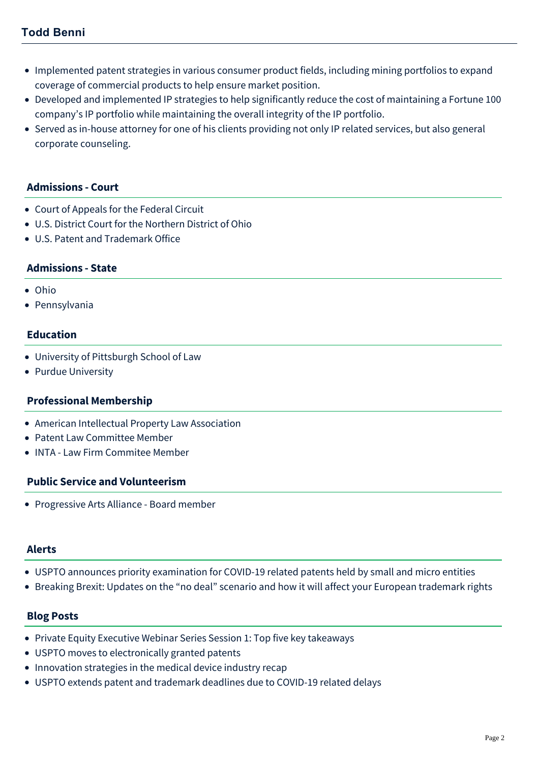# **Todd Benni**

- Implemented patent strategies in various consumer product fields, including mining portfolios to expand coverage of commercial products to help ensure market position.
- Developed and implemented IP strategies to help significantly reduce the cost of maintaining a Fortune 100 company's IP portfolio while maintaining the overall integrity of the IP portfolio.
- Served as in-house attorney for one of his clients providing not only IP related services, but also general corporate counseling.

#### **Admissions - Court**

- Court of Appeals for the Federal Circuit
- U.S. District Court for the Northern District of Ohio
- U.S. Patent and Trademark Office

#### **Admissions - State**

- Ohio
- Pennsylvania

### **Education**

- University of Pittsburgh School of Law
- Purdue University

#### **Professional Membership**

- American Intellectual Property Law Association
- Patent Law Committee Member
- INTA Law Firm Commitee Member

#### **Public Service and Volunteerism**

Progressive Arts Alliance - Board member

#### **Alerts**

- [USPTO announces priority examination for COVID-19 related patents held by small and micro entities](https://mcdonaldhopkins.com/Insights/May-2020/USPTO-announces-priority-examination-for-COVID-19)
- [Breaking Brexit: Updates on the "no deal" scenario and how it will affect your European trademark rights](https://mcdonaldhopkins.com/Insights/March-2019/Breaking-Brexit-how-the-no-deal-will-affect-your-E)

#### **Blog Posts**

- [Private Equity Executive Webinar Series Session 1: Top five key takeaways](https://mcdonaldhopkins.com/Insights/March-2022/Top-5-key-takeaways-Private-Equity-Executive-Webin)
- [USPTO moves to electronically granted patents](https://mcdonaldhopkins.com/Insights/January-2022/USPTO-moves-to-electronically-granted-patents)
- [Innovation strategies in the medical device industry recap](https://mcdonaldhopkins.com/Insights/April-2021/Innovation-strategies-in-the-medical-device-indust)
- [USPTO extends patent and trademark deadlines due to COVID-19 related delays](https://mcdonaldhopkins.com/Insights/April-2020/USPTO-extends-patent-and-trademark-deadlines-due-t)